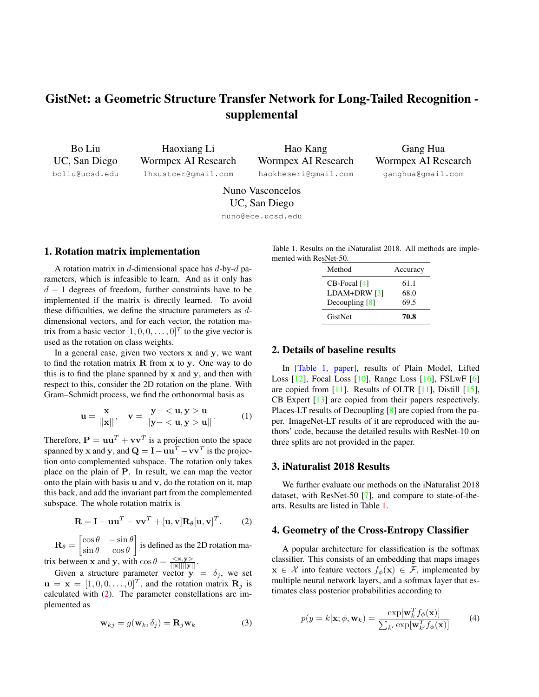# GistNet: a Geometric Structure Transfer Network for Long-Tailed Recognition supplemental

Bo Liu UC, San Diego boliu@ucsd.edu

Haoxiang Li Wormpex AI Research lhxustcer@gmail.com

Hao Kang Wormpex AI Research haokheseri@gmail.com

Gang Hua Wormpex AI Research ganghua@gmail.com

Nuno Vasconcelos UC, San Diego

nuno@ece.ucsd.edu

### 1. Rotation matrix implementation

A rotation matrix in d-dimensional space has  $d$ -by- $d$  parameters, which is infeasible to learn. And as it only has  $d-1$  degrees of freedom, further constraints have to be implemented if the matrix is directly learned. To avoid these difficulties, we define the structure parameters as ddimensional vectors, and for each vector, the rotation matrix from a basic vector  $[1, 0, 0, \dots, 0]^T$  to the give vector is used as the rotation on class weights.

In a general case, given two vectors  $x$  and  $y$ , we want to find the rotation matrix  $R$  from  $x$  to  $y$ . One way to do this is to find the plane spanned by  $x$  and  $y$ , and then with respect to this, consider the 2D rotation on the plane. With Gram–Schmidt process, we find the orthonormal basis as

$$
\mathbf{u} = \frac{\mathbf{x}}{||\mathbf{x}||}, \quad \mathbf{v} = \frac{\mathbf{y} - \langle \mathbf{u}, \mathbf{y} \rangle \mathbf{u}}{||\mathbf{y} - \langle \mathbf{u}, \mathbf{y} \rangle \mathbf{u}||}.
$$
 (1)

Therefore,  $P = uu^T + vv^T$  is a projection onto the space spanned by x and y, and  $\mathbf{Q} = \mathbf{I} - \mathbf{u} \mathbf{u}^T - \mathbf{v} \mathbf{v}^T$  is the projection onto complemented subspace. The rotation only takes place on the plain of P. In result, we can map the vector onto the plain with basis  $\bf{u}$  and  $\bf{v}$ , do the rotation on it, map this back, and add the invariant part from the complemented subspace. The whole rotation matrix is

$$
\mathbf{R} = \mathbf{I} - \mathbf{u}\mathbf{u}^T - \mathbf{v}\mathbf{v}^T + [\mathbf{u}, \mathbf{v}]\mathbf{R}_{\theta}[\mathbf{u}, \mathbf{v}]^T.
$$
 (2)

 $\mathbf{R}_{\theta} = \begin{bmatrix} \cos \theta & -\sin \theta \\ \sin \theta & \cos \theta \end{bmatrix}$  $\sin \theta \quad \cos \theta$ is defined as the 2D rotation ma-

trix between x and y, with  $\cos \theta = \frac{\langle x, y \rangle}{\|x\| \|y\|}$ .

Given a structure parameter vector  $y = \delta_j$ , we set  $\mathbf{u} = \mathbf{x} = [1, 0, 0, \dots, 0]^T$ , and the rotation matrix  $\mathbf{R}_j$  is calculated with (2). The parameter constellations are implemented as

$$
\mathbf{w}_{kj} = g(\mathbf{w}_k, \delta_j) = \mathbf{R}_j \mathbf{w}_k
$$
 (3)

Table 1. Results on the iNaturalist 2018. All methods are implemented with ResNet-50.

| Method           | Accuracy |
|------------------|----------|
| CB-Focal [4]     | 61.1     |
| $LDAM+DRW[3]$    | 68.0     |
| Decoupling $[8]$ | 69.5     |
| GistNet          | 70.8     |

## 2. Details of baseline results

In [Table 1, paper], results of Plain Model, Lifted Loss [12], Focal Loss [10], Range Loss [16], FSLwF [6] are copied from [11]. Results of OLTR [11], Distill [15], CB Expert [13] are copied from their papers respectively. Places-LT results of Decoupling [8] are copied from the paper. ImageNet-LT results of it are reproduced with the authors' code, because the detailed results with ResNet-10 on three splits are not provided in the paper.

## 3. iNaturalist 2018 Results

We further evaluate our methods on the iNaturalist 2018 dataset, with ResNet-50 [7], and compare to state-of-thearts. Results are listed in Table 1.

### 4. Geometry of the Cross-Entropy Classifier

A popular architecture for classification is the softmax classifier. This consists of an embedding that maps images  $\mathbf{x} \in \mathcal{X}$  into feature vectors  $f_{\phi}(\mathbf{x}) \in \mathcal{F}$ , implemented by multiple neural network layers, and a softmax layer that estimates class posterior probabilities according to

$$
p(y = k|\mathbf{x}; \phi, \mathbf{w}_k) = \frac{\exp[\mathbf{w}_k^T f_\phi(\mathbf{x})]}{\sum_{k'} \exp[\mathbf{w}_k^T f_\phi(\mathbf{x})]}
$$
(4)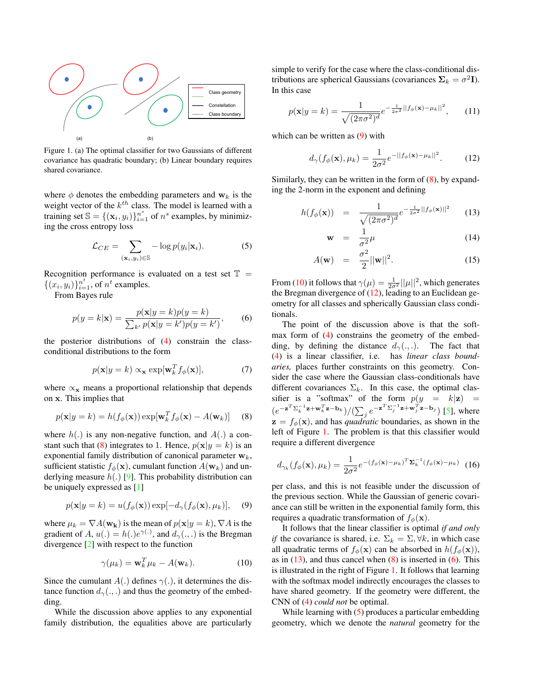

Figure 1. (a) The optimal classifier for two Gaussians of different covariance has quadratic boundary; (b) Linear boundary requires shared covariance.

where  $\phi$  denotes the embedding parameters and  $w_k$  is the weight vector of the  $k^{th}$  class. The model is learned with a training set  $\mathbb{S} = \{(\mathbf{x}_i, y_i)\}_{i=1}^{n^s}$  of  $n^s$  examples, by minimizing the cross entropy loss

$$
\mathcal{L}_{CE} = \sum_{(\mathbf{x}_i, y_i) \in \mathbb{S}} -\log p(y_i | \mathbf{x}_i). \tag{5}
$$

Recognition performance is evaluated on a test set  $\mathbb{T}$  =  $\{(x_i, y_i)\}_{i=1}^{n^t}$ , of  $n^t$  examples.

From Bayes rule

$$
p(y=k|\mathbf{x}) = \frac{p(\mathbf{x}|y=k)p(y=k)}{\sum_{k'} p(\mathbf{x}|y=k')p(y=k')},\qquad(6)
$$

the posterior distributions of (4) constrain the classconditional distributions to the form

$$
p(\mathbf{x}|y=k) \propto_{\mathbf{x}} \exp[\mathbf{w}_k^T f_{\phi}(\mathbf{x})], \tag{7}
$$

where  $\alpha_x$  means a proportional relationship that depends on x. This implies that

$$
p(\mathbf{x}|y=k) = h(f_{\phi}(\mathbf{x})) \exp[\mathbf{w}_k^T f_{\phi}(\mathbf{x}) - A(\mathbf{w}_k)] \quad (8)
$$

where  $h(.)$  is any non-negative function, and  $A(.)$  a constant such that (8) integrates to 1. Hence,  $p(\mathbf{x}|y = k)$  is an exponential family distribution of canonical parameter  $w_k$ , sufficient statistic  $f_{\phi}(\mathbf{x})$ , cumulant function  $A(\mathbf{w}_k)$  and underlying measure  $h(.)$  [9]. This probability distribution can be uniquely expressed as [1]

$$
p(\mathbf{x}|y=k) = u(f_{\phi}(\mathbf{x})) \exp[-d_{\gamma}(f_{\phi}(\mathbf{x}), \mu_k)], \quad (9)
$$

where  $\mu_k = \nabla A(\mathbf{w_k})$  is the mean of  $p(\mathbf{x}|y = k)$ ,  $\nabla A$  is the gradient of A,  $u(.) = h(.)e^{\gamma(.)}$ , and  $d_{\gamma}(.,.)$  is the Bregman divergence [2] with respect to the function

$$
\gamma(\mu_k) = \mathbf{w}_k^T \mu_k - A(\mathbf{w}_k). \tag{10}
$$

Since the cumulant  $A(.)$  defines  $\gamma(.)$ , it determines the distance function  $d_{\gamma}(\cdot, \cdot)$  and thus the geometry of the embedding.

While the discussion above applies to any exponential family distribution, the equalities above are particularly simple to verify for the case where the class-conditional distributions are spherical Gaussians (covariances  $\Sigma_k = \sigma^2 \mathbf{I}$ ). In this case

$$
p(\mathbf{x}|y=k) = \frac{1}{\sqrt{(2\pi\sigma^2)^d}} e^{-\frac{1}{2\sigma^2}||f_{\phi}(\mathbf{x}) - \mu_k||^2}, \qquad (11)
$$

which can be written as  $(9)$  with

$$
d_{\gamma}(f_{\phi}(\mathbf{x}), \mu_k) = \frac{1}{2\sigma^2} e^{-||f_{\phi}(\mathbf{x}) - \mu_k||^2}.
$$
 (12)

Similarly, they can be written in the form of  $(8)$ , by expanding the 2-norm in the exponent and defining

$$
h(f_{\phi}(\mathbf{x})) = \frac{1}{\sqrt{(2\pi\sigma^2)^d}}e^{-\frac{1}{2\sigma^2}||f_{\phi}(\mathbf{x})||^2}
$$
 (13)

$$
\mathbf{w} = \frac{1}{\sigma^2} \mu \tag{14}
$$

$$
A(\mathbf{w}) = \frac{\sigma^2}{2} ||\mathbf{w}||^2.
$$
 (15)

From (10) it follows that  $\gamma(\mu) = \frac{1}{2\sigma^2} ||\mu||^2$ , which generates the Bregman divergence of  $(12)$ , leading to an Euclidean geometry for all classes and spherically Gaussian class conditionals.

The point of the discussion above is that the softmax form of (4) constrains the geometry of the embedding, by defining the distance  $d_{\gamma}(.,.)$ . The fact that (4) is a linear classifier, i.e. has *linear class boundaries,* places further constraints on this geometry. Consider the case where the Gaussian class-conditionals have different covariances  $\Sigma_k$ . In this case, the optimal classifier is a "softmax" of the form  $p(y = k|\mathbf{z})$  =  $(e^{-\mathbf{z}^T \Sigma_k^{-1} \mathbf{z} + \mathbf{w}_k^T \mathbf{z} - \mathbf{b}_k})/(\sum_j e^{-\mathbf{z}^T \Sigma_j^{-1} \mathbf{z} + \mathbf{w}_j^T \mathbf{z} - \mathbf{b}_j})$  [5], where  $z = f_{\phi}(\mathbf{x})$ , and has *quadratic* boundaries, as shown in the left of Figure 1. The problem is that this classifier would require a different divergence

$$
d_{\gamma_k}(f_{\phi}(\mathbf{x}), \mu_k) = \frac{1}{2\sigma^2} e^{-(f_{\phi}(\mathbf{x}) - \mu_k)^T \Sigma_k^{-1} (f_{\phi}(\mathbf{x}) - \mu_k)}
$$
(16)

per class, and this is not feasible under the discussion of the previous section. While the Gaussian of generic covariance can still be written in the exponential family form, this requires a quadratic transformation of  $f_{\phi}(\mathbf{x})$ .

It follows that the linear classifier is optimal *if and only if* the covariance is shared, i.e.  $\Sigma_k = \Sigma, \forall k$ , in which case all quadratic terms of  $f_{\phi}(\mathbf{x})$  can be absorbed in  $h(f_{\phi}(\mathbf{x})),$ as in  $(13)$ , and thus cancel when  $(8)$  is inserted in  $(6)$ . This is illustrated in the right of Figure 1. It follows that learning with the softmax model indirectly encourages the classes to have shared geometry. If the geometry were different, the CNN of (4) *could not* be optimal.

While learning with  $(5)$  produces a particular embedding geometry, which we denote the *natural* geometry for the